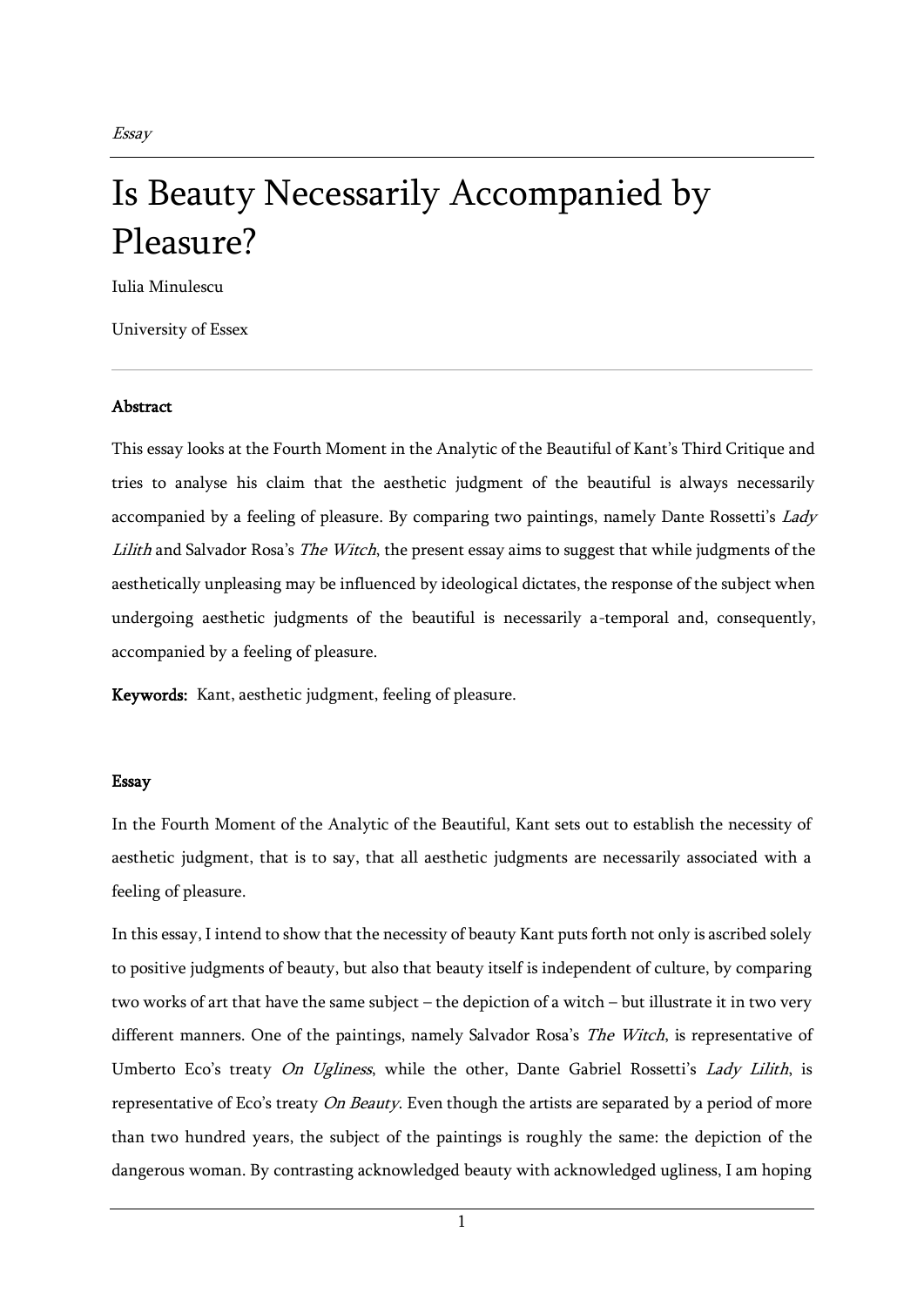Essay

## Is Beauty Necessarily Accompanied by Pleasure?

Iulia Minulescu

University of Essex

## Abstract

This essay looks at the Fourth Moment in the Analytic of the Beautiful of Kant's Third Critique and tries to analyse his claim that the aesthetic judgment of the beautiful is always necessarily accompanied by a feeling of pleasure. By comparing two paintings, namely Dante Rossetti's Lady Lilith and Salvador Rosa's The Witch, the present essay aims to suggest that while judgments of the aesthetically unpleasing may be influenced by ideological dictates, the response of the subject when undergoing aesthetic judgments of the beautiful is necessarily a-temporal and, consequently, accompanied by a feeling of pleasure.

Keywords: Kant, aesthetic judgment, feeling of pleasure.

## Essay

In the Fourth Moment of the Analytic of the Beautiful, Kant sets out to establish the necessity of aesthetic judgment, that is to say, that all aesthetic judgments are necessarily associated with a feeling of pleasure.

In this essay, I intend to show that the necessity of beauty Kant puts forth not only is ascribed solely to positive judgments of beauty, but also that beauty itself is independent of culture, by comparing two works of art that have the same subject – the depiction of a witch – but illustrate it in two very different manners. One of the paintings, namely Salvador Rosa's The Witch, is representative of Umberto Eco's treaty On Ugliness, while the other, Dante Gabriel Rossetti's Lady Lilith, is representative of Eco's treaty  $On$  Beauty. Even though the artists are separated by a period of more than two hundred years, the subject of the paintings is roughly the same: the depiction of the dangerous woman. By contrasting acknowledged beauty with acknowledged ugliness, I am hoping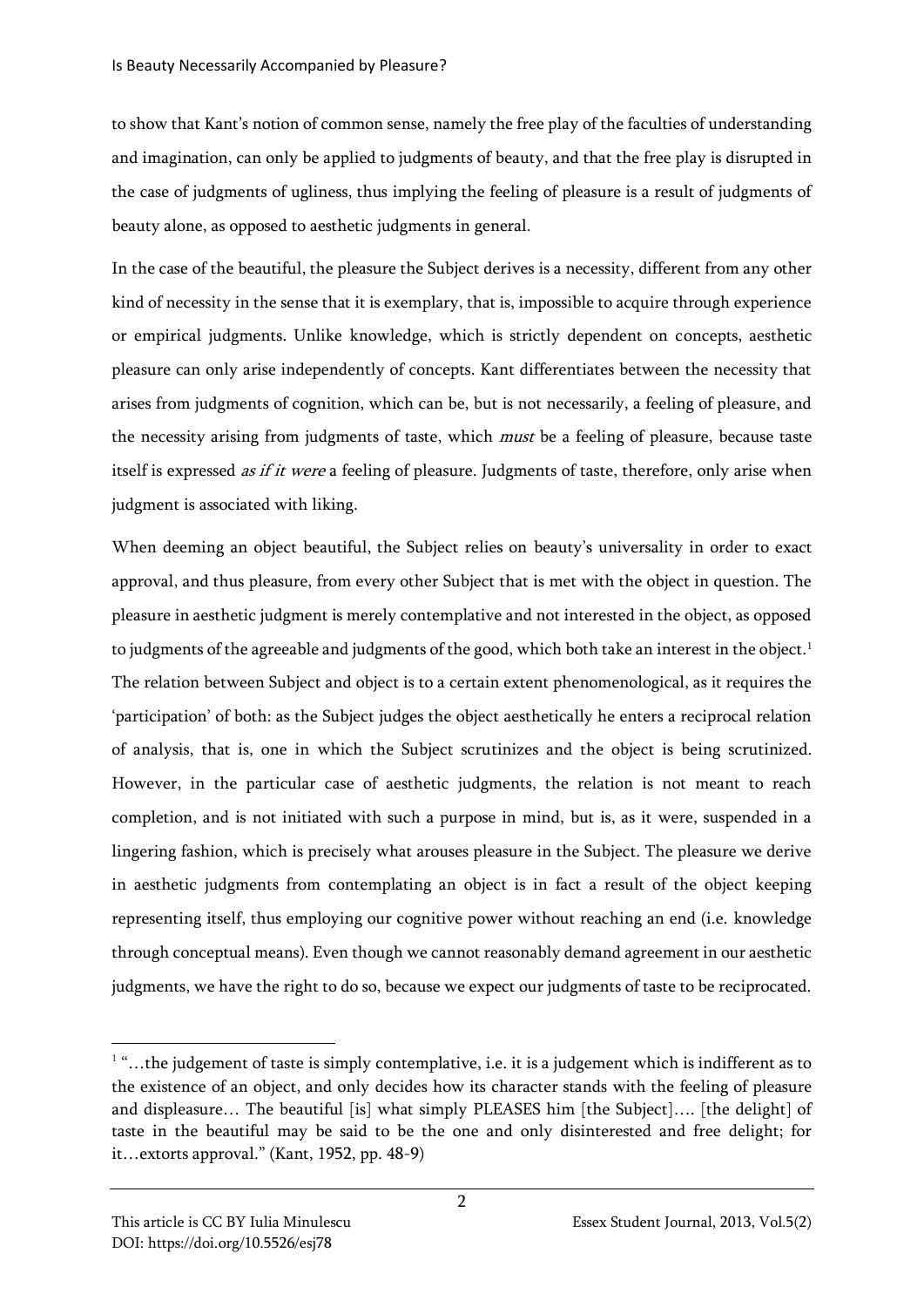to show that Kant's notion of common sense, namely the free play of the faculties of understanding and imagination, can only be applied to judgments of beauty, and that the free play is disrupted in the case of judgments of ugliness, thus implying the feeling of pleasure is a result of judgments of beauty alone, as opposed to aesthetic judgments in general.

In the case of the beautiful, the pleasure the Subject derives is a necessity, different from any other kind of necessity in the sense that it is exemplary, that is, impossible to acquire through experience or empirical judgments. Unlike knowledge, which is strictly dependent on concepts, aesthetic pleasure can only arise independently of concepts. Kant differentiates between the necessity that arises from judgments of cognition, which can be, but is not necessarily, a feeling of pleasure, and the necessity arising from judgments of taste, which must be a feeling of pleasure, because taste itself is expressed as if it were a feeling of pleasure. Judgments of taste, therefore, only arise when judgment is associated with liking.

When deeming an object beautiful, the Subject relies on beauty's universality in order to exact approval, and thus pleasure, from every other Subject that is met with the object in question. The pleasure in aesthetic judgment is merely contemplative and not interested in the object, as opposed to judgments of the agreeable and judgments of the good, which both take an interest in the object.<sup>1</sup> The relation between Subject and object is to a certain extent phenomenological, as it requires the 'participation' of both: as the Subject judges the object aesthetically he enters a reciprocal relation of analysis, that is, one in which the Subject scrutinizes and the object is being scrutinized. However, in the particular case of aesthetic judgments, the relation is not meant to reach completion, and is not initiated with such a purpose in mind, but is, as it were, suspended in a lingering fashion, which is precisely what arouses pleasure in the Subject. The pleasure we derive in aesthetic judgments from contemplating an object is in fact a result of the object keeping representing itself, thus employing our cognitive power without reaching an end (i.e. knowledge through conceptual means). Even though we cannot reasonably demand agreement in our aesthetic judgments, we have the right to do so, because we expect our judgments of taste to be reciprocated.

 $1$  "...the judgement of taste is simply contemplative, i.e. it is a judgement which is indifferent as to the existence of an object, and only decides how its character stands with the feeling of pleasure and displeasure... The beautiful [is] what simply PLEASES him [the Subject].... [the delight] of taste in the beautiful may be said to be the one and only disinterested and free delight; for it…extorts approval." (Kant, 1952, pp. 48-9)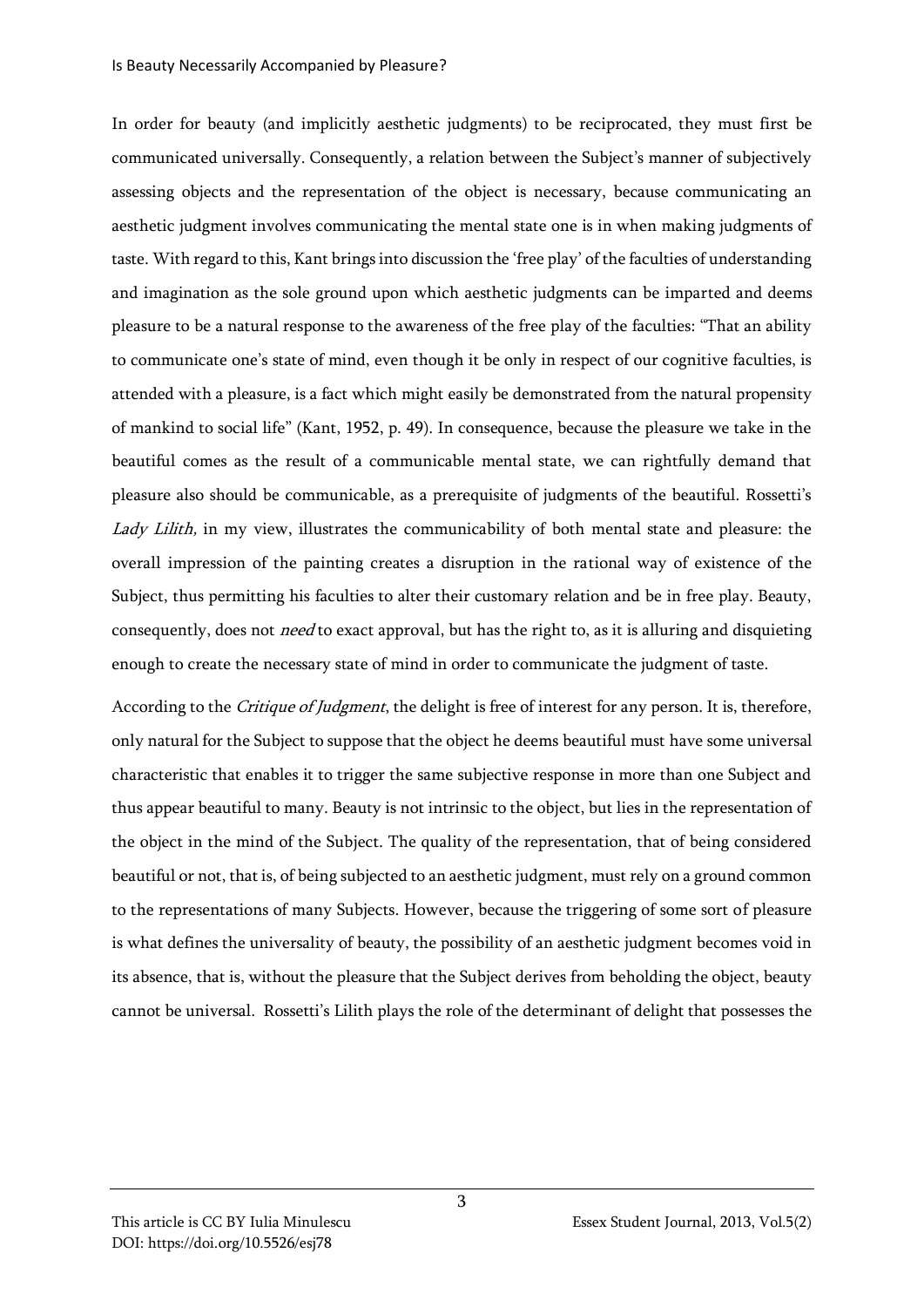In order for beauty (and implicitly aesthetic judgments) to be reciprocated, they must first be communicated universally. Consequently, a relation between the Subject's manner of subjectively assessing objects and the representation of the object is necessary, because communicating an aesthetic judgment involves communicating the mental state one is in when making judgments of taste. With regard to this, Kant brings into discussion the 'free play' of the faculties of understanding and imagination as the sole ground upon which aesthetic judgments can be imparted and deems pleasure to be a natural response to the awareness of the free play of the faculties: "That an ability to communicate one's state of mind, even though it be only in respect of our cognitive faculties, is attended with a pleasure, is a fact which might easily be demonstrated from the natural propensity of mankind to social life" (Kant, 1952, p. 49). In consequence, because the pleasure we take in the beautiful comes as the result of a communicable mental state, we can rightfully demand that pleasure also should be communicable, as a prerequisite of judgments of the beautiful. Rossetti's Lady Lilith, in my view, illustrates the communicability of both mental state and pleasure: the overall impression of the painting creates a disruption in the rational way of existence of the Subject, thus permitting his faculties to alter their customary relation and be in free play. Beauty, consequently, does not *need* to exact approval, but has the right to, as it is alluring and disquieting enough to create the necessary state of mind in order to communicate the judgment of taste.

According to the *Critique of Judgment*, the delight is free of interest for any person. It is, therefore, only natural for the Subject to suppose that the object he deems beautiful must have some universal characteristic that enables it to trigger the same subjective response in more than one Subject and thus appear beautiful to many. Beauty is not intrinsic to the object, but lies in the representation of the object in the mind of the Subject. The quality of the representation, that of being considered beautiful or not, that is, of being subjected to an aesthetic judgment, must rely on a ground common to the representations of many Subjects. However, because the triggering of some sort of pleasure is what defines the universality of beauty, the possibility of an aesthetic judgment becomes void in its absence, that is, without the pleasure that the Subject derives from beholding the object, beauty cannot be universal. Rossetti's Lilith plays the role of the determinant of delight that possesses the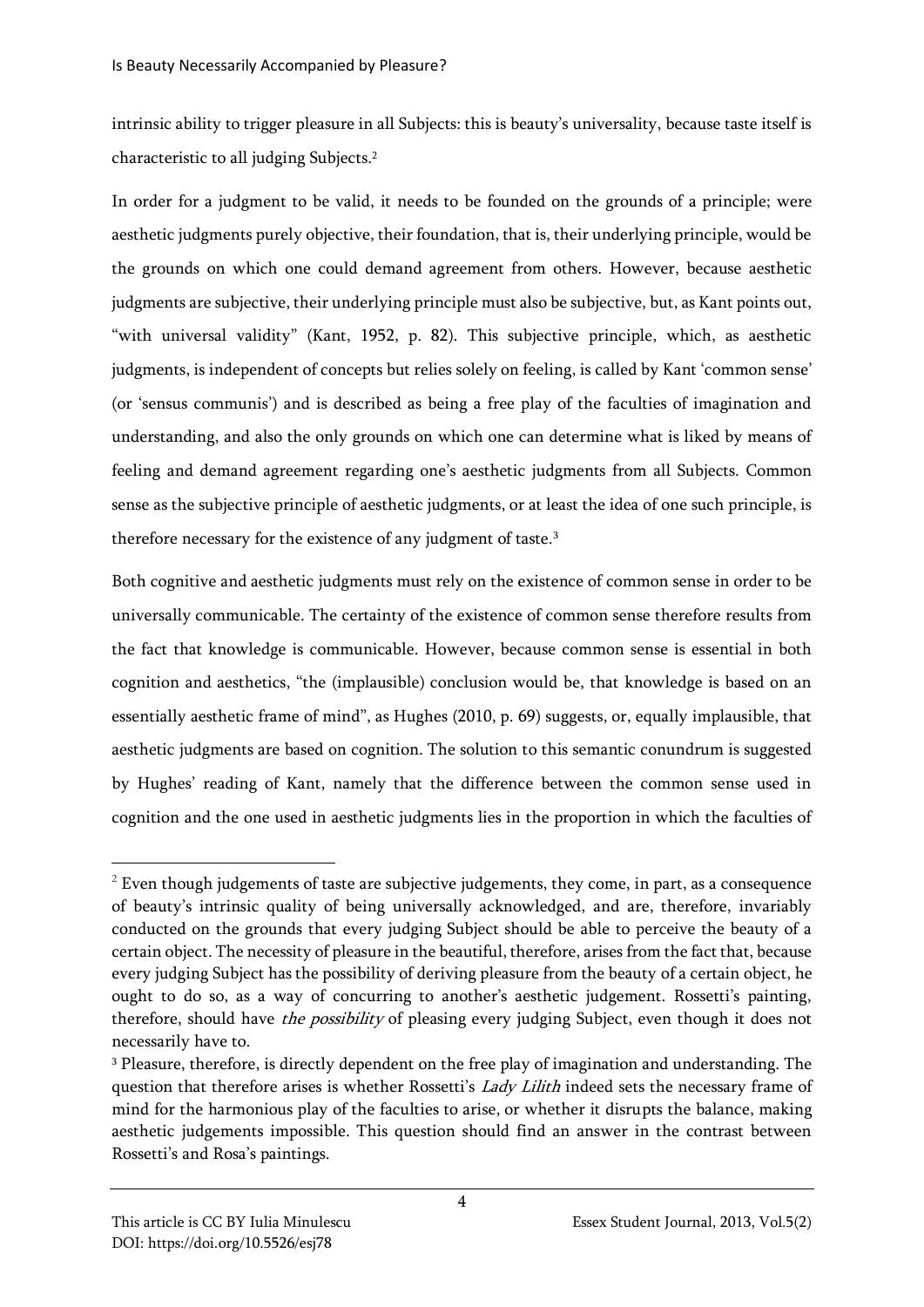intrinsic ability to trigger pleasure in all Subjects: this is beauty's universality, because taste itself is characteristic to all judging Subjects.<sup>2</sup>

In order for a judgment to be valid, it needs to be founded on the grounds of a principle; were aesthetic judgments purely objective, their foundation, that is, their underlying principle, would be the grounds on which one could demand agreement from others. However, because aesthetic judgments are subjective, their underlying principle must also be subjective, but, as Kant points out, "with universal validity" (Kant, 1952, p. 82). This subjective principle, which, as aesthetic judgments, is independent of concepts but relies solely on feeling, is called by Kant 'common sense' (or 'sensus communis') and is described as being a free play of the faculties of imagination and understanding, and also the only grounds on which one can determine what is liked by means of feeling and demand agreement regarding one's aesthetic judgments from all Subjects. Common sense as the subjective principle of aesthetic judgments, or at least the idea of one such principle, is therefore necessary for the existence of any judgment of taste.<sup>3</sup>

Both cognitive and aesthetic judgments must rely on the existence of common sense in order to be universally communicable. The certainty of the existence of common sense therefore results from the fact that knowledge is communicable. However, because common sense is essential in both cognition and aesthetics, "the (implausible) conclusion would be, that knowledge is based on an essentially aesthetic frame of mind", as Hughes (2010, p. 69) suggests, or, equally implausible, that aesthetic judgments are based on cognition. The solution to this semantic conundrum is suggested by Hughes' reading of Kant, namely that the difference between the common sense used in cognition and the one used in aesthetic judgments lies in the proportion in which the faculties of

 $2$  Even though judgements of taste are subjective judgements, they come, in part, as a consequence of beauty's intrinsic quality of being universally acknowledged, and are, therefore, invariably conducted on the grounds that every judging Subject should be able to perceive the beauty of a certain object. The necessity of pleasure in the beautiful, therefore, arises from the fact that, because every judging Subject has the possibility of deriving pleasure from the beauty of a certain object, he ought to do so, as a way of concurring to another's aesthetic judgement. Rossetti's painting, therefore, should have *the possibility* of pleasing every judging Subject, even though it does not necessarily have to.

<sup>&</sup>lt;sup>3</sup> Pleasure, therefore, is directly dependent on the free play of imagination and understanding. The question that therefore arises is whether Rossetti's *Lady Lilith* indeed sets the necessary frame of mind for the harmonious play of the faculties to arise, or whether it disrupts the balance, making aesthetic judgements impossible. This question should find an answer in the contrast between Rossetti's and Rosa's paintings.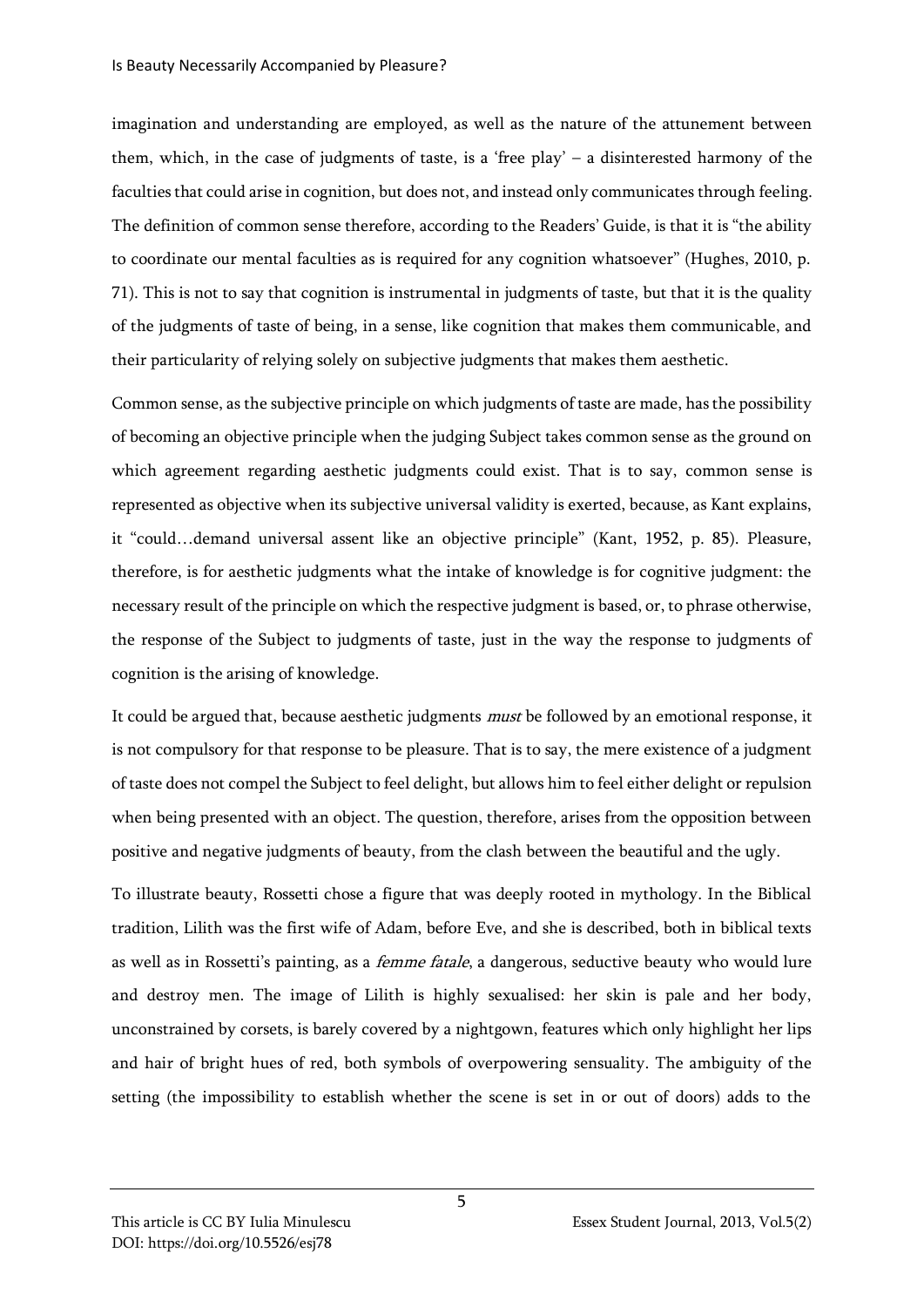imagination and understanding are employed, as well as the nature of the attunement between them, which, in the case of judgments of taste, is a 'free play' – a disinterested harmony of the faculties that could arise in cognition, but does not, and instead only communicates through feeling. The definition of common sense therefore, according to the Readers' Guide, is that it is "the ability to coordinate our mental faculties as is required for any cognition whatsoever" (Hughes, 2010, p. 71). This is not to say that cognition is instrumental in judgments of taste, but that it is the quality of the judgments of taste of being, in a sense, like cognition that makes them communicable, and their particularity of relying solely on subjective judgments that makes them aesthetic.

Common sense, as the subjective principle on which judgments of taste are made, has the possibility of becoming an objective principle when the judging Subject takes common sense as the ground on which agreement regarding aesthetic judgments could exist. That is to say, common sense is represented as objective when its subjective universal validity is exerted, because, as Kant explains, it "could…demand universal assent like an objective principle" (Kant, 1952, p. 85). Pleasure, therefore, is for aesthetic judgments what the intake of knowledge is for cognitive judgment: the necessary result of the principle on which the respective judgment is based, or, to phrase otherwise, the response of the Subject to judgments of taste, just in the way the response to judgments of cognition is the arising of knowledge.

It could be argued that, because aesthetic judgments must be followed by an emotional response, it is not compulsory for that response to be pleasure. That is to say, the mere existence of a judgment of taste does not compel the Subject to feel delight, but allows him to feel either delight or repulsion when being presented with an object. The question, therefore, arises from the opposition between positive and negative judgments of beauty, from the clash between the beautiful and the ugly.

To illustrate beauty, Rossetti chose a figure that was deeply rooted in mythology. In the Biblical tradition, Lilith was the first wife of Adam, before Eve, and she is described, both in biblical texts as well as in Rossetti's painting, as a *femme fatale*, a dangerous, seductive beauty who would lure and destroy men. The image of Lilith is highly sexualised: her skin is pale and her body, unconstrained by corsets, is barely covered by a nightgown, features which only highlight her lips and hair of bright hues of red, both symbols of overpowering sensuality. The ambiguity of the setting (the impossibility to establish whether the scene is set in or out of doors) adds to the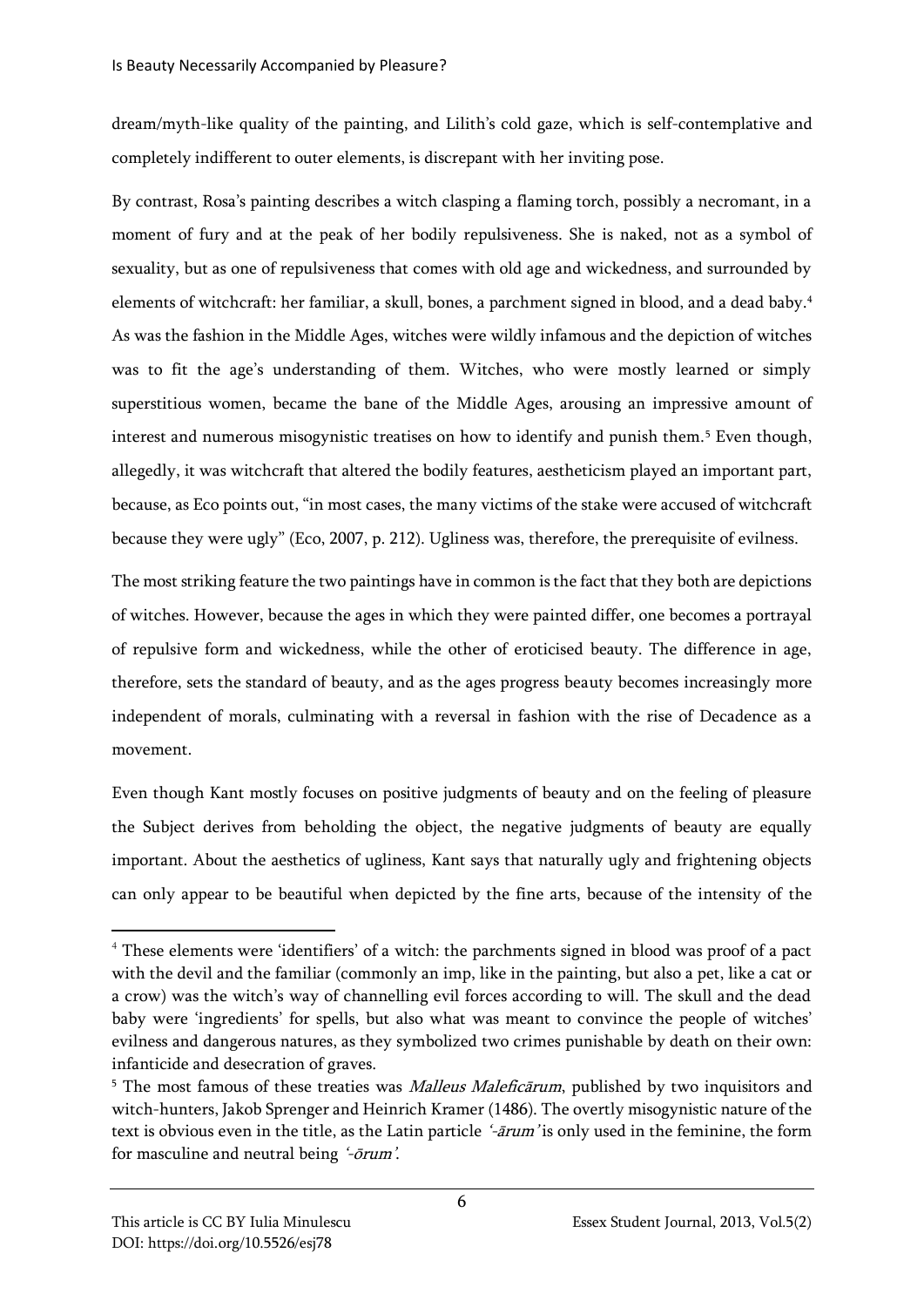dream/myth-like quality of the painting, and Lilith's cold gaze, which is self-contemplative and completely indifferent to outer elements, is discrepant with her inviting pose.

By contrast, Rosa's painting describes a witch clasping a flaming torch, possibly a necromant, in a moment of fury and at the peak of her bodily repulsiveness. She is naked, not as a symbol of sexuality, but as one of repulsiveness that comes with old age and wickedness, and surrounded by elements of witchcraft: her familiar, a skull, bones, a parchment signed in blood, and a dead baby.<sup>4</sup> As was the fashion in the Middle Ages, witches were wildly infamous and the depiction of witches was to fit the age's understanding of them. Witches, who were mostly learned or simply superstitious women, became the bane of the Middle Ages, arousing an impressive amount of interest and numerous misogynistic treatises on how to identify and punish them.<sup>5</sup> Even though, allegedly, it was witchcraft that altered the bodily features, aestheticism played an important part, because, as Eco points out, "in most cases, the many victims of the stake were accused of witchcraft because they were ugly" (Eco, 2007, p. 212). Ugliness was, therefore, the prerequisite of evilness.

The most striking feature the two paintings have in common is the fact that they both are depictions of witches. However, because the ages in which they were painted differ, one becomes a portrayal of repulsive form and wickedness, while the other of eroticised beauty. The difference in age, therefore, sets the standard of beauty, and as the ages progress beauty becomes increasingly more independent of morals, culminating with a reversal in fashion with the rise of Decadence as a movement.

Even though Kant mostly focuses on positive judgments of beauty and on the feeling of pleasure the Subject derives from beholding the object, the negative judgments of beauty are equally important. About the aesthetics of ugliness, Kant says that naturally ugly and frightening objects can only appear to be beautiful when depicted by the fine arts, because of the intensity of the

<sup>&</sup>lt;sup>4</sup> These elements were 'identifiers' of a witch: the parchments signed in blood was proof of a pact with the devil and the familiar (commonly an imp, like in the painting, but also a pet, like a cat or a crow) was the witch's way of channelling evil forces according to will. The skull and the dead baby were 'ingredients' for spells, but also what was meant to convince the people of witches' evilness and dangerous natures, as they symbolized two crimes punishable by death on their own: infanticide and desecration of graves.

<sup>&</sup>lt;sup>5</sup> The most famous of these treaties was *Malleus Maleficārum*, published by two inquisitors and witch-hunters, Jakob Sprenger and Heinrich Kramer (1486). The overtly misogynistic nature of the text is obvious even in the title, as the Latin particle '-ārum' is only used in the feminine, the form for masculine and neutral being '-ōrum'.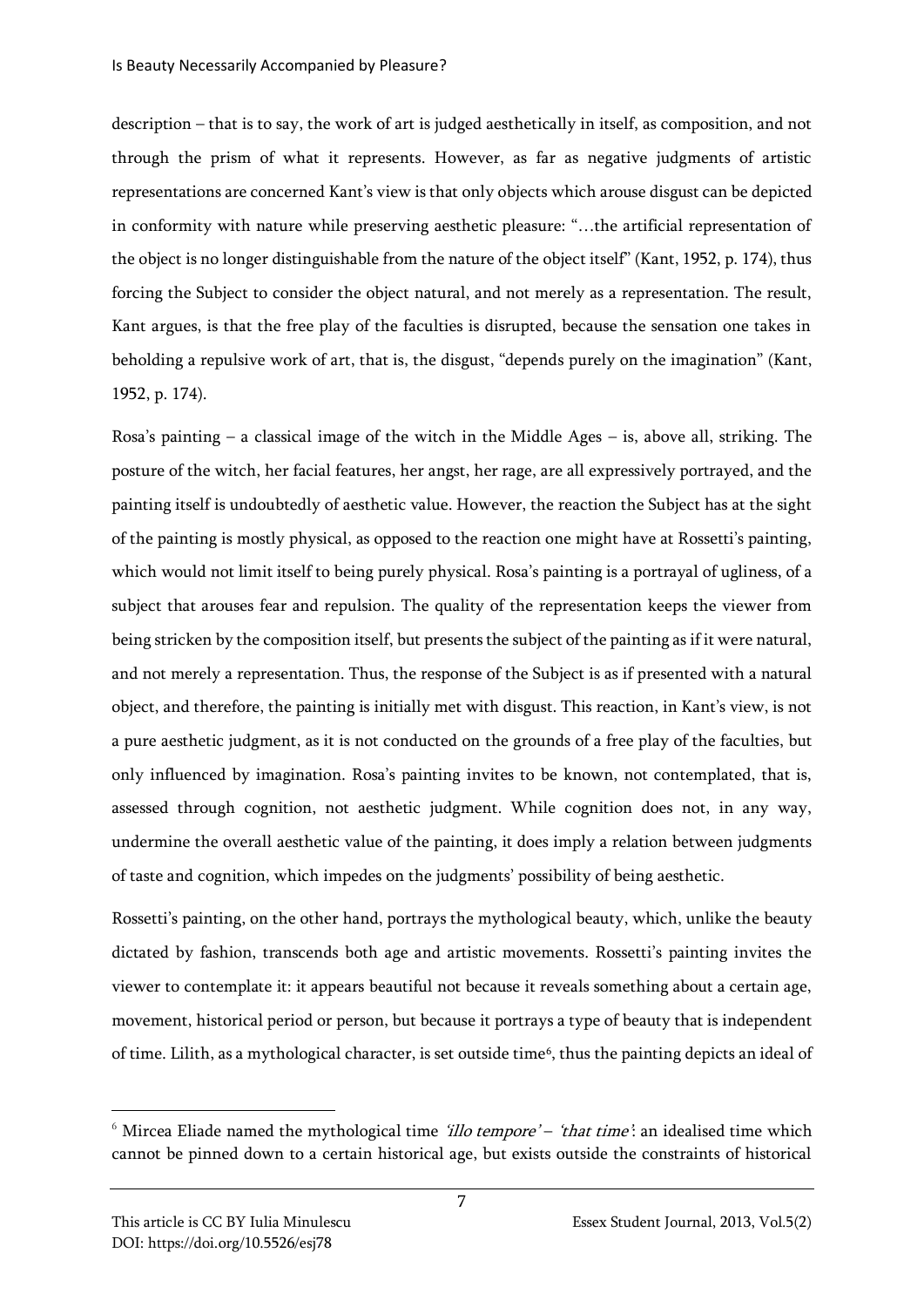description – that is to say, the work of art is judged aesthetically in itself, as composition, and not through the prism of what it represents. However, as far as negative judgments of artistic representations are concerned Kant's view is that only objects which arouse disgust can be depicted in conformity with nature while preserving aesthetic pleasure: "…the artificial representation of the object is no longer distinguishable from the nature of the object itself" (Kant, 1952, p. 174), thus forcing the Subject to consider the object natural, and not merely as a representation. The result, Kant argues, is that the free play of the faculties is disrupted, because the sensation one takes in beholding a repulsive work of art, that is, the disgust, "depends purely on the imagination" (Kant, 1952, p. 174).

Rosa's painting – a classical image of the witch in the Middle Ages – is, above all, striking. The posture of the witch, her facial features, her angst, her rage, are all expressively portrayed, and the painting itself is undoubtedly of aesthetic value. However, the reaction the Subject has at the sight of the painting is mostly physical, as opposed to the reaction one might have at Rossetti's painting, which would not limit itself to being purely physical. Rosa's painting is a portrayal of ugliness, of a subject that arouses fear and repulsion. The quality of the representation keeps the viewer from being stricken by the composition itself, but presents the subject of the painting as if it were natural, and not merely a representation. Thus, the response of the Subject is as if presented with a natural object, and therefore, the painting is initially met with disgust. This reaction, in Kant's view, is not a pure aesthetic judgment, as it is not conducted on the grounds of a free play of the faculties, but only influenced by imagination. Rosa's painting invites to be known, not contemplated, that is, assessed through cognition, not aesthetic judgment. While cognition does not, in any way, undermine the overall aesthetic value of the painting, it does imply a relation between judgments of taste and cognition, which impedes on the judgments' possibility of being aesthetic.

Rossetti's painting, on the other hand, portrays the mythological beauty, which, unlike the beauty dictated by fashion, transcends both age and artistic movements. Rossetti's painting invites the viewer to contemplate it: it appears beautiful not because it reveals something about a certain age, movement, historical period or person, but because it portrays a type of beauty that is independent of time. Lilith, as a mythological character, is set outside time<sup>6</sup>, thus the painting depicts an ideal of

 $6$  Mircea Eliade named the mythological time *'illo tempore' – 'that time*': an idealised time which cannot be pinned down to a certain historical age, but exists outside the constraints of historical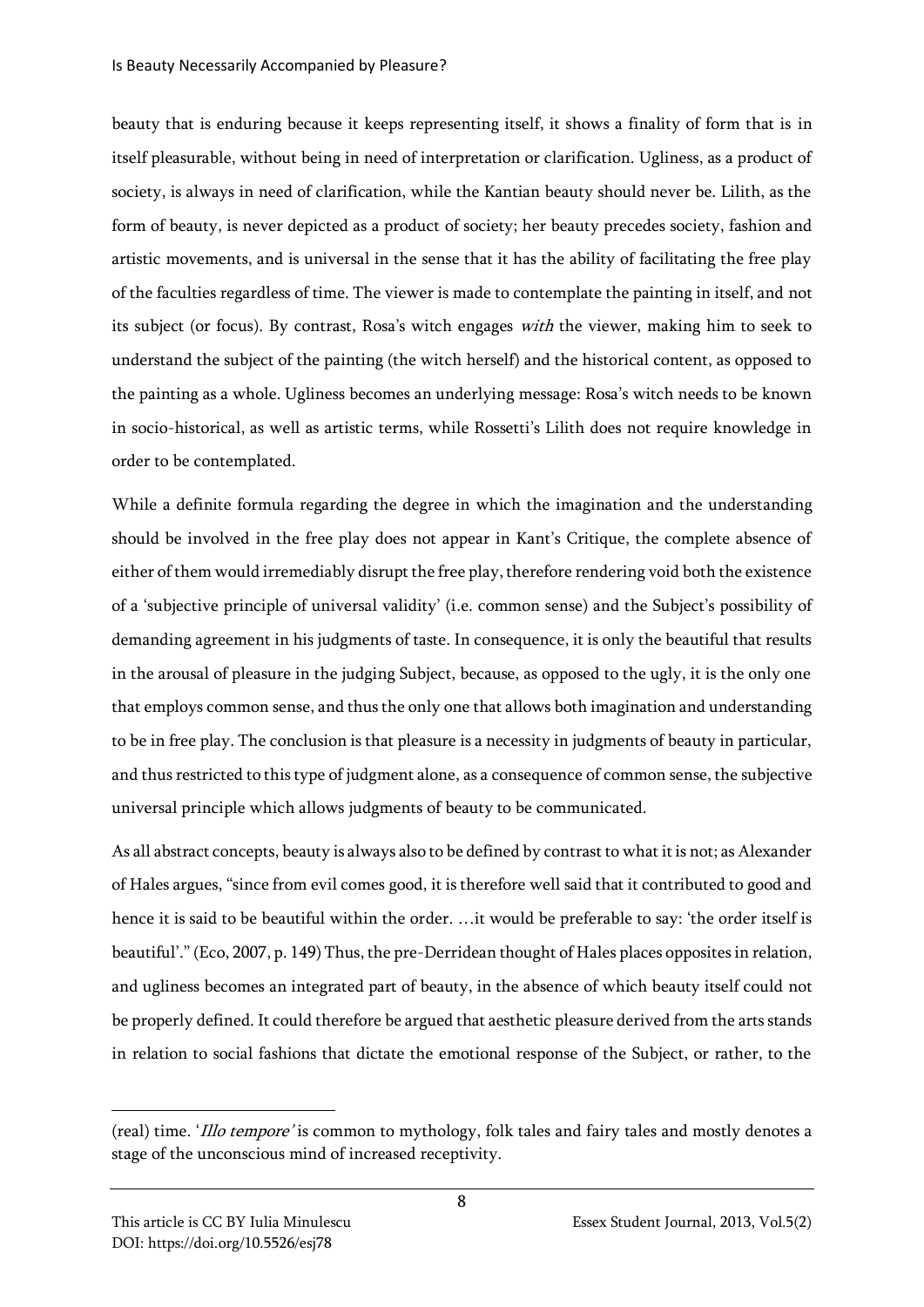beauty that is enduring because it keeps representing itself, it shows a finality of form that is in itself pleasurable, without being in need of interpretation or clarification. Ugliness, as a product of society, is always in need of clarification, while the Kantian beauty should never be. Lilith, as the form of beauty, is never depicted as a product of society; her beauty precedes society, fashion and artistic movements, and is universal in the sense that it has the ability of facilitating the free play of the faculties regardless of time. The viewer is made to contemplate the painting in itself, and not its subject (or focus). By contrast, Rosa's witch engages with the viewer, making him to seek to understand the subject of the painting (the witch herself) and the historical content, as opposed to the painting as a whole. Ugliness becomes an underlying message: Rosa's witch needs to be known in socio-historical, as well as artistic terms, while Rossetti's Lilith does not require knowledge in order to be contemplated.

While a definite formula regarding the degree in which the imagination and the understanding should be involved in the free play does not appear in Kant's Critique, the complete absence of either of them would irremediably disrupt the free play, therefore rendering void both the existence of a 'subjective principle of universal validity' (i.e. common sense) and the Subject's possibility of demanding agreement in his judgments of taste. In consequence, it is only the beautiful that results in the arousal of pleasure in the judging Subject, because, as opposed to the ugly, it is the only one that employs common sense, and thus the only one that allows both imagination and understanding to be in free play. The conclusion is that pleasure is a necessity in judgments of beauty in particular, and thus restricted to this type of judgment alone, as a consequence of common sense, the subjective universal principle which allows judgments of beauty to be communicated.

As all abstract concepts, beauty is always also to be defined by contrast to what it is not; as Alexander of Hales argues, "since from evil comes good, it is therefore well said that it contributed to good and hence it is said to be beautiful within the order. …it would be preferable to say: 'the order itself is beautiful'." (Eco, 2007, p. 149) Thus, the pre-Derridean thought of Hales places opposites in relation, and ugliness becomes an integrated part of beauty, in the absence of which beauty itself could not be properly defined. It could therefore be argued that aesthetic pleasure derived from the arts stands in relation to social fashions that dictate the emotional response of the Subject, or rather, to the

<sup>(</sup>real) time. 'Illo tempore' is common to mythology, folk tales and fairy tales and mostly denotes a stage of the unconscious mind of increased receptivity.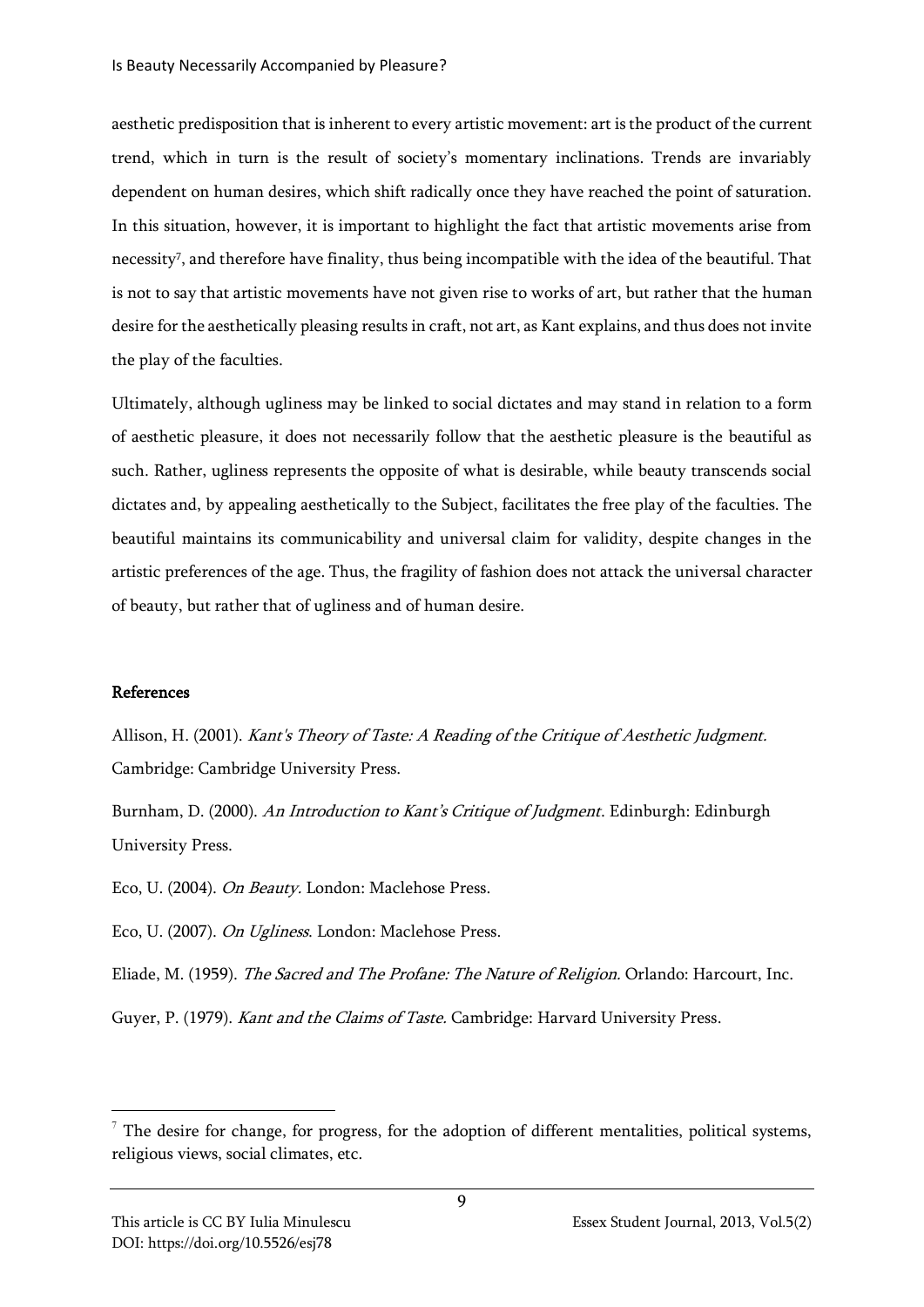aesthetic predisposition that is inherent to every artistic movement: art is the product of the current trend, which in turn is the result of society's momentary inclinations. Trends are invariably dependent on human desires, which shift radically once they have reached the point of saturation. In this situation, however, it is important to highlight the fact that artistic movements arise from necessity<sup>7</sup> , and therefore have finality, thus being incompatible with the idea of the beautiful. That is not to say that artistic movements have not given rise to works of art, but rather that the human desire for the aesthetically pleasing results in craft, not art, as Kant explains, and thus does not invite the play of the faculties.

Ultimately, although ugliness may be linked to social dictates and may stand in relation to a form of aesthetic pleasure, it does not necessarily follow that the aesthetic pleasure is the beautiful as such. Rather, ugliness represents the opposite of what is desirable, while beauty transcends social dictates and, by appealing aesthetically to the Subject, facilitates the free play of the faculties. The beautiful maintains its communicability and universal claim for validity, despite changes in the artistic preferences of the age. Thus, the fragility of fashion does not attack the universal character of beauty, but rather that of ugliness and of human desire.

## References

Allison, H. (2001). Kant's Theory of Taste: A Reading of the Critique of Aesthetic Judgment. Cambridge: Cambridge University Press.

Burnham, D. (2000). An Introduction to Kant's Critique of Judgment. Edinburgh: Edinburgh University Press.

Eco, U. (2004). On Beauty. London: Maclehose Press.

Eco, U. (2007). On Ugliness. London: Maclehose Press.

Eliade, M. (1959). The Sacred and The Profane: The Nature of Religion. Orlando: Harcourt, Inc.

Guyer, P. (1979). Kant and the Claims of Taste. Cambridge: Harvard University Press.

 $\frac{7}{7}$  The desire for change, for progress, for the adoption of different mentalities, political systems, religious views, social climates, etc.